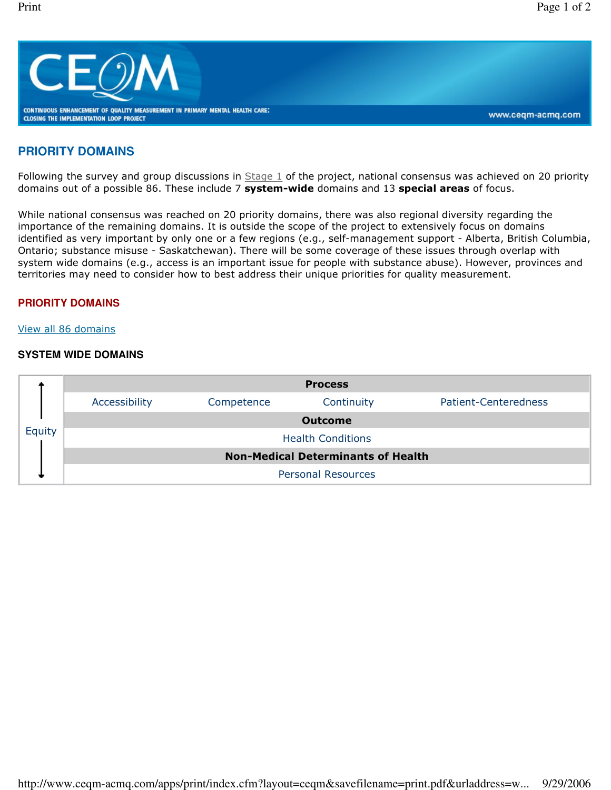

# **PRIORITY DOMAINS**

Following the survey and group discussions in  $Stage 1$  of the project, national consensus was achieved on 20 priority domains out of a possible 86. These include 7 system-wide domains and 13 special areas of focus.

While national consensus was reached on 20 priority domains, there was also regional diversity regarding the importance of the remaining domains. It is outside the scope of the project to extensively focus on domains identified as very important by only one or a few regions (e.g., self-management support - Alberta, British Columbia, Ontario; substance misuse - Saskatchewan). There will be some coverage of these issues through overlap with system wide domains (e.g., access is an important issue for people with substance abuse). However, provinces and territories may need to consider how to best address their unique priorities for quality measurement.

## **PRIORITY DOMAINS**

#### View all 86 domains

# **SYSTEM WIDE DOMAINS**

| Equity | <b>Process</b>                            |            |            |                      |  |  |  |
|--------|-------------------------------------------|------------|------------|----------------------|--|--|--|
|        | Accessibility                             | Competence | Continuity | Patient-Centeredness |  |  |  |
|        | <b>Outcome</b>                            |            |            |                      |  |  |  |
|        | <b>Health Conditions</b>                  |            |            |                      |  |  |  |
|        | <b>Non-Medical Determinants of Health</b> |            |            |                      |  |  |  |
|        | <b>Personal Resources</b>                 |            |            |                      |  |  |  |